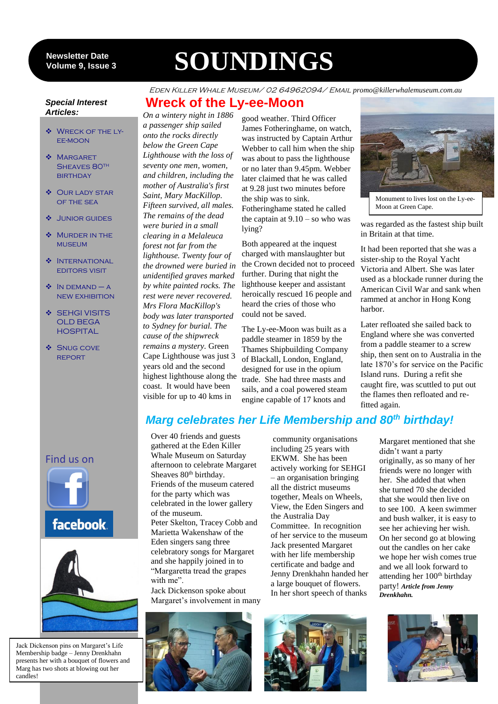#### 9 **Volume 9, Issue 3 Newsletter Date**

# **SOUNDINGS**

**Wreck of the Ly-ee-Moon**

#### Eden Killer Whale Museum/ 02 64962094/ Email *promo@killerwhalemuseum.com.au*

#### *Special Interest Articles:*

- **WRECK OF THE LY-**EE-MOON
- ◆ MARGARET SHEAVES 80TH **BIRTHDAY**
- ◆ OUR LADY STAR of the sea
- Junior guides
- Murder in the **MUSEUM**
- **INTERNATIONAL** editors visit
- $\bullet$  IN DEMAND A new exhibition
- **SEHGI VISITS** OLD BEGA **HOSPITAL**
- **❖** SNUG COVE **REPORT**

*On a wintery night in 1886 a passenger ship sailed onto the rocks directly below the Green Cape Lighthouse with the loss of seventy one men, women, and children, including the mother of Australia's first Saint, Mary MacKillop. Fifteen survived, all males. The remains of the dead were buried in a small clearing in a Melaleuca forest not far from the lighthouse. Twenty four of the drowned were buried in unidentified graves marked by white painted rocks. The rest were never recovered. Mrs Flora MacKillop's body was later transported to Sydney for burial. The cause of the shipwreck remains a mystery.* Green Cape Lighthouse was just 3 years old and the second highest lighthouse along the coast. It would have been visible for up to 40 kms in

good weather. Third Officer James Fotheringhame, on watch, was instructed by Captain Arthur Webber to call him when the ship was about to pass the lighthouse or no later than 9.45pm. Webber later claimed that he was called at 9.28 just two minutes before the ship was to sink. Fotheringhame stated he called the captain at  $9.10 -$ so who was lying?

Both appeared at the inquest charged with manslaughter but the Crown decided not to proceed further. During that night the lighthouse keeper and assistant heroically rescued 16 people and heard the cries of those who could not be saved.

The Ly-ee-Moon was built as a paddle steamer in 1859 by the Thames Shipbuilding Company of Blackall, London, England, designed for use in the opium trade. She had three masts and sails, and a coal powered steam engine capable of 17 knots and



Moon at Green Cape.

was regarded as the fastest ship built in Britain at that time.

It had been reported that she was a sister-ship to the Royal Yacht Victoria and Albert. She was later used as a blockade runner during the American Civil War and sank when rammed at anchor in Hong Kong harbor.

Later refloated she sailed back to England where she was converted from a paddle steamer to a screw ship, then sent on to Australia in the late 1870's for service on the Pacific Island runs. During a refit she caught fire, was scuttled to put out the flames then refloated and refitted again.

# *Marg celebrates her Life Membership and 80th birthday!*

Over 40 friends and guests gathered at the Eden Killer Whale Museum on Saturday afternoon to celebrate Margaret Sheaves 80<sup>th</sup> birthday. Friends of the museum catered for the party which was celebrated in the lower gallery of the museum. Peter Skelton, Tracey Cobb and Marietta Wakenshaw of the Eden singers sang three celebratory songs for Margaret and she happily joined in to "Margaretta tread the grapes with me".

Jack Dickenson spoke about Margaret's involvement in many

community organisations including 25 years with EKWM. She has been actively working for SEHGI – an organisation bringing all the district museums together, Meals on Wheels, View, the Eden Singers and the Australia Day Committee. In recognition of her service to the museum Jack presented Margaret with her life membership certificate and badge and Jenny Drenkhahn handed her a large bouquet of flowers. In her short speech of thanks









# Find us on





Jack Dickenson pins on Margaret's Life Membership badge – Jenny Drenkhahn presents her with a bouquet of flowers and Marg has two shots at blowing out her candles!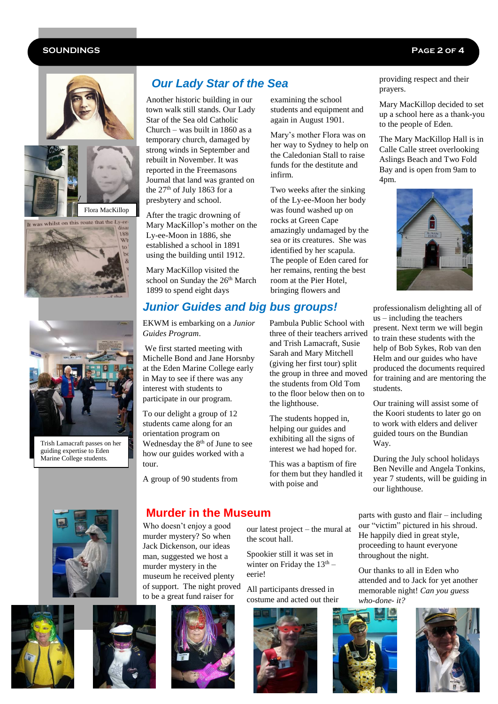#### **SOUNDINGS Page 2 of 4**









Trish Lamacraft passes on her guiding expertise to Eden Marine College students.

# *Our Lady Star of the Sea*

Another historic building in our town walk still stands. Our Lady Star of the Sea old Catholic Church – was built in 1860 as a temporary church, damaged by strong winds in September and rebuilt in November. It was reported in the Freemasons Journal that land was granted on the 27<sup>th</sup> of July 1863 for a presbytery and school.

After the tragic drowning of Mary MacKillop's mother on the Ly-ee-Moon in 1886, she established a school in 1891 using the building until 1912.

Mary MacKillop visited the school on Sunday the 26<sup>th</sup> March 1899 to spend eight days

# *Junior Guides and big bus groups!*

EKWM is embarking on a *Junior Guides Program*.

We first started meeting with Michelle Bond and Jane Horsnby at the Eden Marine College early in May to see if there was any interest with students to participate in our program.

To our delight a group of 12 students came along for an orientation program on Wednesday the 8<sup>th</sup> of June to see how our guides worked with a tour.

A group of 90 students from

examining the school students and equipment and again in August 1901.

Mary's mother Flora was on her way to Sydney to help on the Caledonian Stall to raise funds for the destitute and infirm.

Two weeks after the sinking of the Ly-ee-Moon her body was found washed up on rocks at Green Cape amazingly undamaged by the sea or its creatures. She was identified by her scapula. The people of Eden cared for her remains, renting the best room at the Pier Hotel, bringing flowers and

providing respect and their prayers.

Mary MacKillop decided to set up a school here as a thank-you to the people of Eden.

The Mary MacKillop Hall is in Calle Calle street overlooking Aslings Beach and Two Fold Bay and is open from 9am to 4pm.



professionalism delighting all of us – including the teachers present. Next term we will begin to train these students with the help of Bob Sykes, Rob van den Helm and our guides who have produced the documents required for training and are mentoring the students.

Our training will assist some of the Koori students to later go on to work with elders and deliver guided tours on the Bundian Way.

During the July school holidays Ben Neville and Angela Tonkins, year 7 students, will be guiding in our lighthouse.











the scout hall.

eerie!



parts with gusto and flair – including our "victim" pictured in his shroud. He happily died in great style, proceeding to haunt everyone throughout the night.

Our thanks to all in Eden who attended and to Jack for yet another memorable night! *Can you guess who-done- it?*



three of their teachers arrived and Trish Lamacraft, Susie Sarah and Mary Mitchell (giving her first tour) split the group in three and moved the students from Old Tom to the floor below then on to the lighthouse.

Pambula Public School with

The students hopped in, helping our guides and exhibiting all the signs of interest we had hoped for.

This was a baptism of fire for them but they handled it with poise and

our latest project – the mural at

Spookier still it was set in winter on Friday the  $13<sup>th</sup>$  –

All participants dressed in

# **Murder in the Museum**

Who doesn't enjoy a good murder mystery? So when Jack Dickenson, our ideas man, suggested we host a murder mystery in the museum he received plenty of support. The night proved to be a great fund raiser for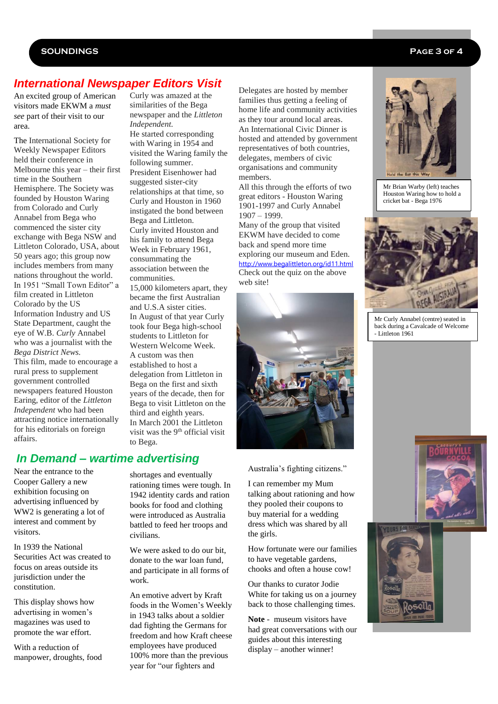#### **SOUNDINGS Page 3 of 4**

# *International Newspaper Editors Visit*

An excited group of American visitors made EKWM a *must see* part of their visit to our area.

The International Society for Weekly Newspaper Editors held their conference in Melbourne this year – their first time in the Southern Hemisphere. The Society was founded by Houston Waring from Colorado and Curly Annabel from Bega who commenced the sister city exchange with Bega NSW and Littleton Colorado, USA, about 50 years ago; this group now includes members from many nations throughout the world. In 1951 "Small Town Editor" a film created in Littleton Colorado by the US Information Industry and US State Department, caught the eye of W.B. *Curly* Annabel who was a journalist with the *Bega District News.* This film, made to encourage a rural press to supplement government controlled newspapers featured Houston Earing, editor of the *Littleton Independent* who had been attracting notice internationally for his editorials on foreign affairs.

Curly was amazed at the similarities of the Bega newspaper and the *Littleton Independent.*  He started corresponding with Waring in 1954 and visited the Waring family the following summer. President Eisenhower had suggested sister-city relationships at that time, so Curly and Houston in 1960 instigated the bond between Bega and Littleton. Curly invited Houston and his family to attend Bega Week in February 1961, consummating the association between the communities.

15,000 kilometers apart, they became the first Australian and U.S.A sister cities. In August of that year Curly took four Bega high-school students to Littleton for Western Welcome Week. A custom was then established to host a delegation from Littleton in Bega on the first and sixth years of the decade, then for Bega to visit Littleton on the third and eighth years. In March 2001 the Littleton visit was the  $9<sup>th</sup>$  official visit to Bega.

## *In Demand – wartime advertising*

Near the entrance to the Cooper Gallery a new exhibition focusing on advertising influenced by WW2 is generating a lot of interest and comment by visitors.

In 1939 the National Securities Act was created to focus on areas outside its jurisdiction under the constitution.

This display shows how advertising in women's magazines was used to promote the war effort.

With a reduction of manpower, droughts, food shortages and eventually rationing times were tough. In 1942 identity cards and ration books for food and clothing were introduced as Australia battled to feed her troops and civilians.

We were asked to do our bit. donate to the war loan fund, and participate in all forms of work.

An emotive advert by Kraft foods in the Women's Weekly in 1943 talks about a soldier dad fighting the Germans for freedom and how Kraft cheese employees have produced 100% more than the previous year for "our fighters and

Delegates are hosted by member families thus getting a feeling of home life and community activities as they tour around local areas. An International Civic Dinner is hosted and attended by government representatives of both countries, delegates, members of civic organisations and community members.

All this through the efforts of two great editors - Houston Waring 1901-1997 and Curly Annabel 1907 – 1999.

Many of the group that visited EKWM have decided to come back and spend more time exploring our museum and Eden. <http://www.begalittleton.org/id11.html> Check out the quiz on the above web site!



#### Australia's fighting citizens."

I can remember my Mum talking about rationing and how they pooled their coupons to buy material for a wedding dress which was shared by all the girls.

How fortunate were our families to have vegetable gardens, chooks and often a house cow!

Our thanks to curator Jodie White for taking us on a journey back to those challenging times.

**Note** - museum visitors have had great conversations with our guides about this interesting display – another winner!



Mr Brian Warby (left) teaches Houston Waring how to hold a cricket bat - Bega 1976



Mr Curly Annabel (centre) seated in back during a Cavalcade of Welcome - Littleton 1961